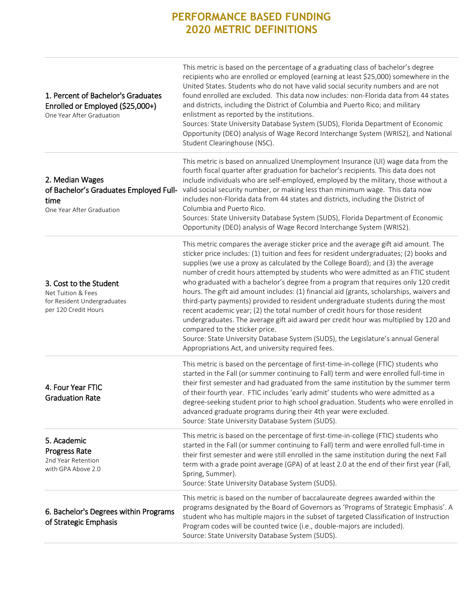| 1. Percent of Bachelor's Graduates<br>Enrolled or Employed (\$25,000+)<br>One Year After Graduation | This metric is based on the percentage of a graduating class of bachelor's degree<br>recipients who are enrolled or employed (earning at least \$25,000) somewhere in the<br>United States. Students who do not have valid social security numbers and are not<br>found enrolled are excluded. This data now includes: non-Florida data from 44 states<br>and districts, including the District of Columbia and Puerto Rico; and military<br>enlistment as reported by the institutions.<br>Sources: State University Database System (SUDS), Florida Department of Economic<br>Opportunity (DEO) analysis of Wage Record Interchange System (WRIS2), and National<br>Student Clearinghouse (NSC).                                                                                                                                                                                                                                                                                     |
|-----------------------------------------------------------------------------------------------------|----------------------------------------------------------------------------------------------------------------------------------------------------------------------------------------------------------------------------------------------------------------------------------------------------------------------------------------------------------------------------------------------------------------------------------------------------------------------------------------------------------------------------------------------------------------------------------------------------------------------------------------------------------------------------------------------------------------------------------------------------------------------------------------------------------------------------------------------------------------------------------------------------------------------------------------------------------------------------------------|
| 2. Median Wages<br>of Bachelor's Graduates Employed Full-<br>time<br>One Year After Graduation      | This metric is based on annualized Unemployment Insurance (UI) wage data from the<br>fourth fiscal quarter after graduation for bachelor's recipients. This data does not<br>include individuals who are self-employed, employed by the military, those without a<br>valid social security number, or making less than minimum wage. This data now<br>includes non-Florida data from 44 states and districts, including the District of<br>Columbia and Puerto Rico.<br>Sources: State University Database System (SUDS), Florida Department of Economic<br>Opportunity (DEO) analysis of Wage Record Interchange System (WRIS2).                                                                                                                                                                                                                                                                                                                                                      |
| 3. Cost to the Student<br>Net Tuition & Fees<br>for Resident Undergraduates<br>per 120 Credit Hours | This metric compares the average sticker price and the average gift aid amount. The<br>sticker price includes: (1) tuition and fees for resident undergraduates; (2) books and<br>supplies (we use a proxy as calculated by the College Board); and (3) the average<br>number of credit hours attempted by students who were admitted as an FTIC student<br>who graduated with a bachelor's degree from a program that requires only 120 credit<br>hours. The gift aid amount includes: (1) financial aid (grants, scholarships, waivers and<br>third-party payments) provided to resident undergraduate students during the most<br>recent academic year; (2) the total number of credit hours for those resident<br>undergraduates. The average gift aid award per credit hour was multiplied by 120 and<br>compared to the sticker price.<br>Source: State University Database System (SUDS), the Legislature's annual General<br>Appropriations Act, and university required fees. |
| 4. Four Year FTIC<br><b>Graduation Rate</b>                                                         | This metric is based on the percentage of first-time-in-college (FTIC) students who<br>started in the Fall (or summer continuing to Fall) term and were enrolled full-time in<br>their first semester and had graduated from the same institution by the summer term<br>of their fourth year. FTIC includes 'early admit' students who were admitted as a<br>degree-seeking student prior to high school graduation. Students who were enrolled in<br>advanced graduate programs during their 4th year were excluded.<br>Source: State University Database System (SUDS).                                                                                                                                                                                                                                                                                                                                                                                                              |
| 5. Academic<br><b>Progress Rate</b><br>2nd Year Retention<br>with GPA Above 2.0                     | This metric is based on the percentage of first-time-in-college (FTIC) students who<br>started in the Fall (or summer continuing to Fall) term and were enrolled full-time in<br>their first semester and were still enrolled in the same institution during the next Fall<br>term with a grade point average (GPA) of at least 2.0 at the end of their first year (Fall,<br>Spring, Summer).<br>Source: State University Database System (SUDS).                                                                                                                                                                                                                                                                                                                                                                                                                                                                                                                                      |
| 6. Bachelor's Degrees within Programs<br>of Strategic Emphasis                                      | This metric is based on the number of baccalaureate degrees awarded within the<br>programs designated by the Board of Governors as 'Programs of Strategic Emphasis'. A<br>student who has multiple majors in the subset of targeted Classification of Instruction<br>Program codes will be counted twice (i.e., double-majors are included).<br>Source: State University Database System (SUDS).                                                                                                                                                                                                                                                                                                                                                                                                                                                                                                                                                                                       |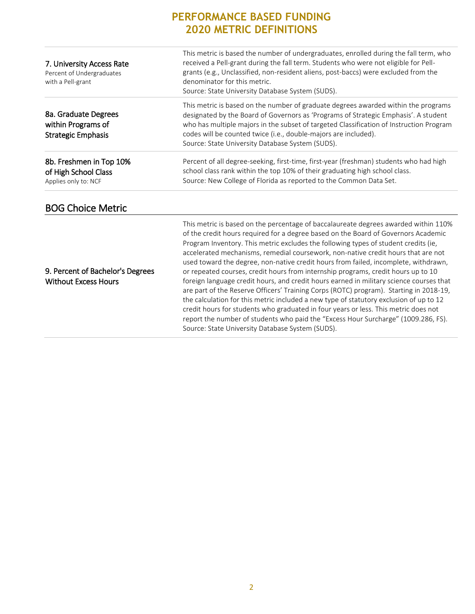| 7. University Access Rate<br>Percent of Undergraduates<br>with a Pell-grant | This metric is based the number of undergraduates, enrolled during the fall term, who<br>received a Pell-grant during the fall term. Students who were not eligible for Pell-<br>grants (e.g., Unclassified, non-resident aliens, post-baccs) were excluded from the<br>denominator for this metric.<br>Source: State University Database System (SUDS).                                                                                                                                                                                                                                                                                                                                                                                                                                                                                                                                                                                                                                                                                          |
|-----------------------------------------------------------------------------|---------------------------------------------------------------------------------------------------------------------------------------------------------------------------------------------------------------------------------------------------------------------------------------------------------------------------------------------------------------------------------------------------------------------------------------------------------------------------------------------------------------------------------------------------------------------------------------------------------------------------------------------------------------------------------------------------------------------------------------------------------------------------------------------------------------------------------------------------------------------------------------------------------------------------------------------------------------------------------------------------------------------------------------------------|
| 8a. Graduate Degrees<br>within Programs of<br><b>Strategic Emphasis</b>     | This metric is based on the number of graduate degrees awarded within the programs<br>designated by the Board of Governors as 'Programs of Strategic Emphasis'. A student<br>who has multiple majors in the subset of targeted Classification of Instruction Program<br>codes will be counted twice (i.e., double-majors are included).<br>Source: State University Database System (SUDS).                                                                                                                                                                                                                                                                                                                                                                                                                                                                                                                                                                                                                                                       |
| 8b. Freshmen in Top 10%<br>of High School Class<br>Applies only to: NCF     | Percent of all degree-seeking, first-time, first-year (freshman) students who had high<br>school class rank within the top 10% of their graduating high school class.<br>Source: New College of Florida as reported to the Common Data Set.                                                                                                                                                                                                                                                                                                                                                                                                                                                                                                                                                                                                                                                                                                                                                                                                       |
| <b>BOG Choice Metric</b>                                                    |                                                                                                                                                                                                                                                                                                                                                                                                                                                                                                                                                                                                                                                                                                                                                                                                                                                                                                                                                                                                                                                   |
| 9. Percent of Bachelor's Degrees<br><b>Without Excess Hours</b>             | This metric is based on the percentage of baccalaureate degrees awarded within 110%<br>of the credit hours required for a degree based on the Board of Governors Academic<br>Program Inventory. This metric excludes the following types of student credits (ie,<br>accelerated mechanisms, remedial coursework, non-native credit hours that are not<br>used toward the degree, non-native credit hours from failed, incomplete, withdrawn,<br>or repeated courses, credit hours from internship programs, credit hours up to 10<br>foreign language credit hours, and credit hours earned in military science courses that<br>are part of the Reserve Officers' Training Corps (ROTC) program). Starting in 2018-19,<br>the calculation for this metric included a new type of statutory exclusion of up to 12<br>credit hours for students who graduated in four years or less. This metric does not<br>report the number of students who paid the "Excess Hour Surcharge" (1009.286, FS).<br>Source: State University Database System (SUDS). |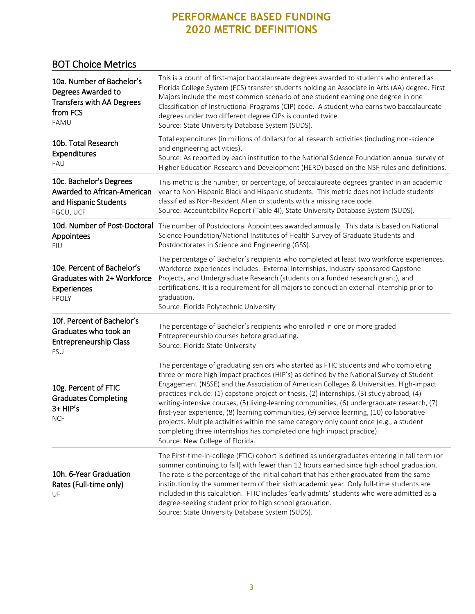#### BOT Choice Metrics

| 10a. Number of Bachelor's<br>Degrees Awarded to<br><b>Transfers with AA Degrees</b><br>from FCS<br>FAMU | This is a count of first-major baccalaureate degrees awarded to students who entered as<br>Florida College System (FCS) transfer students holding an Associate in Arts (AA) degree. First<br>Majors include the most common scenario of one student earning one degree in one<br>Classification of Instructional Programs (CIP) code. A student who earns two baccalaureate<br>degrees under two different degree CIPs is counted twice.<br>Source: State University Database System (SUDS).                                                                                                                                                                                                                                                                               |
|---------------------------------------------------------------------------------------------------------|----------------------------------------------------------------------------------------------------------------------------------------------------------------------------------------------------------------------------------------------------------------------------------------------------------------------------------------------------------------------------------------------------------------------------------------------------------------------------------------------------------------------------------------------------------------------------------------------------------------------------------------------------------------------------------------------------------------------------------------------------------------------------|
| 10b. Total Research<br><b>Expenditures</b><br>FAU                                                       | Total expenditures (in millions of dollars) for all research activities (including non-science<br>and engineering activities).<br>Source: As reported by each institution to the National Science Foundation annual survey of<br>Higher Education Research and Development (HERD) based on the NSF rules and definitions.                                                                                                                                                                                                                                                                                                                                                                                                                                                  |
| 10c. Bachelor's Degrees<br>Awarded to African-American<br>and Hispanic Students<br>FGCU, UCF            | This metric is the number, or percentage, of baccalaureate degrees granted in an academic<br>year to Non-Hispanic Black and Hispanic students. This metric does not include students<br>classified as Non-Resident Alien or students with a missing race code.<br>Source: Accountability Report (Table 4I), State University Database System (SUDS).                                                                                                                                                                                                                                                                                                                                                                                                                       |
| 10d. Number of Post-Doctoral<br>Appointees<br><b>FIU</b>                                                | The number of Postdoctoral Appointees awarded annually. This data is based on National<br>Science Foundation/National Institutes of Health Survey of Graduate Students and<br>Postdoctorates in Science and Engineering (GSS).                                                                                                                                                                                                                                                                                                                                                                                                                                                                                                                                             |
| 10e. Percent of Bachelor's<br>Graduates with 2+ Workforce<br>Experiences<br><b>FPOLY</b>                | The percentage of Bachelor's recipients who completed at least two workforce experiences.<br>Workforce experiences includes: External Internships, Industry-sponsored Capstone<br>Projects, and Undergraduate Research (students on a funded research grant), and<br>certifications. It is a requirement for all majors to conduct an external internship prior to<br>graduation.<br>Source: Florida Polytechnic University                                                                                                                                                                                                                                                                                                                                                |
| 10f. Percent of Bachelor's<br>Graduates who took an<br><b>Entrepreneurship Class</b><br><b>FSU</b>      | The percentage of Bachelor's recipients who enrolled in one or more graded<br>Entrepreneurship courses before graduating.<br>Source: Florida State University                                                                                                                                                                                                                                                                                                                                                                                                                                                                                                                                                                                                              |
| 10g. Percent of FTIC<br><b>Graduates Completing</b><br>3+ HIP's<br><b>NCF</b>                           | The percentage of graduating seniors who started as FTIC students and who completing<br>three or more high-impact practices (HIP's) as defined by the National Survey of Student<br>Engagement (NSSE) and the Association of American Colleges & Universities. High-impact<br>practices include: (1) capstone project or thesis, (2) internships, (3) study abroad, (4)<br>writing-intensive courses, (5) living-learning communities, (6) undergraduate research, (7)<br>first-year experience, (8) learning communities, (9) service learning, (10) collaborative<br>projects. Multiple activities within the same category only count once (e.g., a student<br>completing three internships has completed one high impact practice).<br>Source: New College of Florida. |
| 10h. 6-Year Graduation<br>Rates (Full-time only)<br>UF                                                  | The First-time-in-college (FTIC) cohort is defined as undergraduates entering in fall term (or<br>summer continuing to fall) with fewer than 12 hours earned since high school graduation.<br>The rate is the percentage of the initial cohort that has either graduated from the same<br>institution by the summer term of their sixth academic year. Only full-time students are<br>included in this calculation. FTIC includes 'early admits' students who were admitted as a<br>degree-seeking student prior to high school graduation.<br>Source: State University Database System (SUDS).                                                                                                                                                                            |